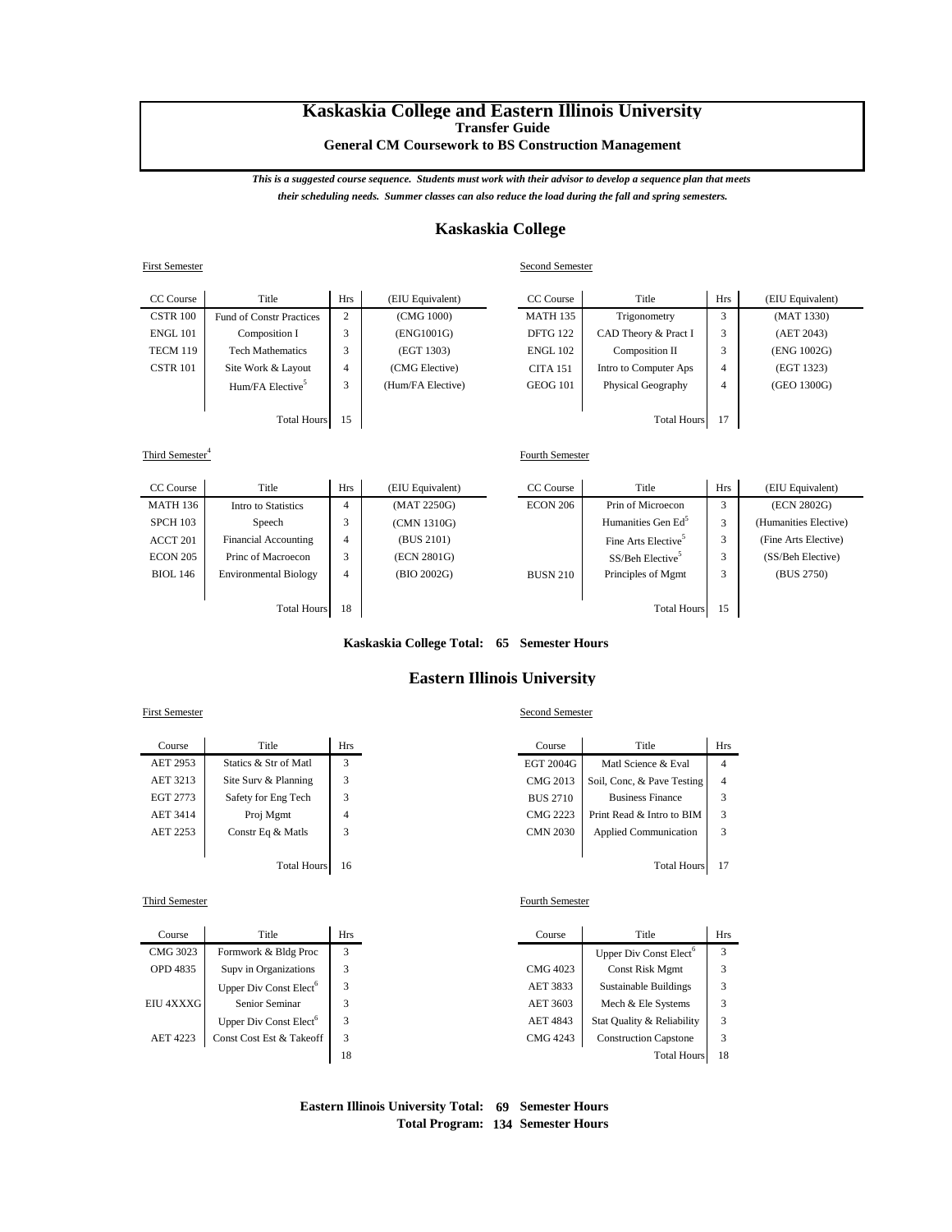# **Kaskaskia College and Eastern Illinois University Transfer Guide**

**General CM Coursework to BS Construction Management**

*This is a suggested course sequence. Students must work with their advisor to develop a sequence plan that meets their scheduling needs. Summer classes can also reduce the load during the fall and spring semesters.*

## **Kaskaskia College**

#### First Semester Second Semester

| CC Course          | Title                           | <b>Hrs</b>         | (EIU Equivalent)  | CC Course       | Title                 | <b>Hrs</b> | (EIU Equivalent) |
|--------------------|---------------------------------|--------------------|-------------------|-----------------|-----------------------|------------|------------------|
| <b>CSTR 100</b>    | <b>Fund of Constr Practices</b> | $\mathcal{L}$<br>∠ | (CMG 1000)        | <b>MATH 135</b> | Trigonometry          | 3          | (MAT 1330)       |
| ENGL 101           | Composition I                   | $\sim$<br>J.       | (ENG1001G)        | <b>DFTG 122</b> | CAD Theory & Pract I  | 3          | (AET 2043)       |
| TECM 119           | <b>Tech Mathematics</b>         | 3                  | (EGT 1303)        | <b>ENGL 102</b> | Composition II        | 3          | (ENG 1002G)      |
| <b>CSTR 101</b>    | Site Work & Layout              | 4                  | (CMG Elective)    | <b>CITA 151</b> | Intro to Computer Aps | 4          | (EGT 1323)       |
|                    | Hum/FA Elective <sup>5</sup>    | 3                  | (Hum/FA Elective) | <b>GEOG 101</b> | Physical Geography    | 4          | (GEO 1300G)      |
|                    |                                 |                    |                   |                 |                       |            |                  |
| <b>Total Hours</b> |                                 | 15                 |                   |                 | <b>Total Hours</b>    | 17         |                  |

Third Semester<sup>4</sup>

| CC Course          | Title                        | <b>Hrs</b>     | (EIU Equivalent) | CC Course       | Title                           | Hrs | (EIU Equivalent)      |
|--------------------|------------------------------|----------------|------------------|-----------------|---------------------------------|-----|-----------------------|
| <b>MATH 136</b>    | Intro to Statistics          | 4              | (MAT 2250G)      | <b>ECON 206</b> | Prin of Microecon               | 3   | (ECN 2802G)           |
| <b>SPCH 103</b>    | Speech                       | 3              | (CMN 1310G)      |                 | Humanities Gen Ed <sup>5</sup>  |     | (Humanities Elective) |
| ACCT 201           | <b>Financial Accounting</b>  | 4              | (BUS 2101)       |                 | Fine Arts Elective <sup>5</sup> |     | (Fine Arts Elective)  |
| <b>ECON 205</b>    | Princ of Macroecon           | 3              | (ECN 2801G)      |                 | SS/Beh Elective <sup>3</sup>    |     | (SS/Beh Elective)     |
| <b>BIOL</b> 146    | <b>Environmental Biology</b> | $\overline{4}$ | (BIO 2002G)      | <b>BUSN 210</b> | Principles of Mgmt              | 3   | (BUS 2750)            |
|                    |                              |                |                  |                 |                                 |     |                       |
| <b>Total Hours</b> |                              | 18             |                  |                 | <b>Total Hours</b>              | 15  |                       |

**Kaskaskia College Total: 65 Semester Hours**

### **Eastern Illinois University**

| Course   | Title                 | Hrs | Course          | Title                        | Hı             |
|----------|-----------------------|-----|-----------------|------------------------------|----------------|
| AET 2953 | Statics & Str of Matl |     | EGT 2004G       | Matl Science & Eval          | 4              |
| AET 3213 | Site Surv & Planning  | 3   | CMG 2013        | Soil, Conc. & Pave Testing   | $\overline{4}$ |
| EGT 2773 | Safety for Eng Tech   | 3   | <b>BUS 2710</b> | <b>Business Finance</b>      | 3              |
| AET 3414 | Proj Mgmt             | 4   | <b>CMG 2223</b> | Print Read & Intro to BIM    | 3              |
| AET 2253 | Constr Eq & Matls     | 3   | <b>CMN 2030</b> | <b>Applied Communication</b> | 3              |
|          |                       |     |                 |                              |                |
|          | <b>Total Hours</b>    | 16  |                 | <b>Total Hours</b>           | 11             |

## Third Semester Fourth Semester

j.

| Course    | Title                              | Hrs | Course   | Title                              | Hı |
|-----------|------------------------------------|-----|----------|------------------------------------|----|
| CMG 3023  | Formwork & Bldg Proc               | 3   |          | Upper Div Const Elect <sup>6</sup> | 3  |
| OPD 4835  | Supv in Organizations              |     | CMG 4023 | Const Risk Mgmt                    | 3  |
|           | Upper Div Const Elect <sup>6</sup> |     | AET 3833 | <b>Sustainable Buildings</b>       | 3  |
| EIU 4XXXG | Senior Seminar                     |     | AET 3603 | Mech & Ele Systems                 | 3  |
|           | Upper Div Const Elect <sup>6</sup> |     | AET 4843 | Stat Quality & Reliability         | 3  |
| AET 4223  | Const Cost Est & Takeoff           | 3   | CMG 4243 | <b>Construction Capstone</b>       | 3  |
|           |                                    | 18  |          | <b>Total Hours</b>                 | 18 |
|           |                                    |     |          |                                    |    |

## First Semester Second Semester

Fourth Semester

| Course  | Title                 | <b>Hrs</b> | Course          | Title                        | Hrs            |
|---------|-----------------------|------------|-----------------|------------------------------|----------------|
| ET 2953 | Statics & Str of Matl | 3          | EGT 2004G       | Matl Science & Eval          | 4              |
| ET 3213 | Site Surv & Planning  |            | CMG 2013        | Soil, Conc. & Pave Testing   | $\overline{4}$ |
| GT 2773 | Safety for Eng Tech   |            | <b>BUS 2710</b> | <b>Business Finance</b>      |                |
| ET 3414 | Proj Mgmt             | 4          | CMG 2223        | Print Read & Intro to BIM    | 3              |
| ET 2253 | Constr Eq & Matls     |            | <b>CMN 2030</b> | <b>Applied Communication</b> | 3              |
|         |                       |            |                 |                              |                |
|         | <b>Total Hours</b>    | 16         |                 | <b>Total Hours</b>           |                |

| Course  | Title                              | Hrs | Course   | Title                              |              |
|---------|------------------------------------|-----|----------|------------------------------------|--------------|
| MG 3023 | Formwork & Bldg Proc               | 3   |          | Upper Div Const Elect <sup>o</sup> | $\mathbf{a}$ |
| PD 4835 | Supv in Organizations              |     | CMG 4023 | Const Risk Mgmt                    |              |
|         | Upper Div Const Elect <sup>6</sup> |     | AET 3833 | Sustainable Buildings              |              |
| J 4XXXG | Senior Seminar                     |     | AET 3603 | Mech & Ele Systems                 |              |
|         | Upper Div Const Elect <sup>6</sup> |     | AET 4843 | Stat Quality & Reliability         |              |
| ET 4223 | Const Cost Est & Takeoff           | 3   | CMG 4243 | <b>Construction Capstone</b>       |              |
|         |                                    | 18  |          | <b>Total Hours</b>                 | 18           |

### **Eastern Illinois University Total: 69 Semester Hours Total Program: 134 Semester Hours**